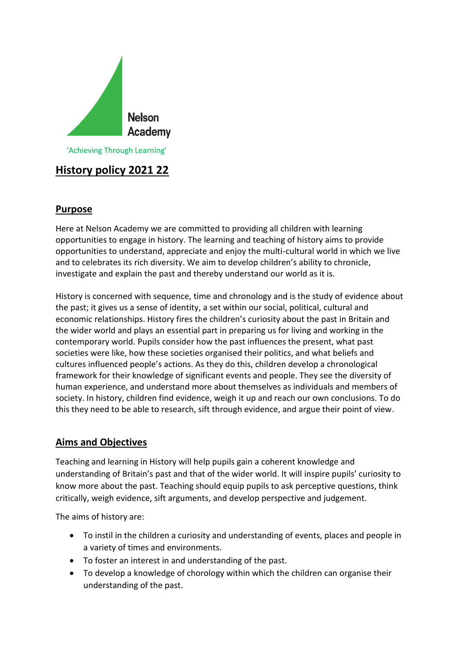

# **History policy 2021 22**

# **Purpose**

Here at Nelson Academy we are committed to providing all children with learning opportunities to engage in history. The learning and teaching of history aims to provide opportunities to understand, appreciate and enjoy the multi-cultural world in which we live and to celebrates its rich diversity. We aim to develop children's ability to chronicle, investigate and explain the past and thereby understand our world as it is.

History is concerned with sequence, time and chronology and is the study of evidence about the past; it gives us a sense of identity, a set within our social, political, cultural and economic relationships. History fires the children's curiosity about the past in Britain and the wider world and plays an essential part in preparing us for living and working in the contemporary world. Pupils consider how the past influences the present, what past societies were like, how these societies organised their politics, and what beliefs and cultures influenced people's actions. As they do this, children develop a chronological framework for their knowledge of significant events and people. They see the diversity of human experience, and understand more about themselves as individuals and members of society. In history, children find evidence, weigh it up and reach our own conclusions. To do this they need to be able to research, sift through evidence, and argue their point of view.

### **Aims and Objectives**

Teaching and learning in History will help pupils gain a coherent knowledge and understanding of Britain's past and that of the wider world. It will inspire pupils' curiosity to know more about the past. Teaching should equip pupils to ask perceptive questions, think critically, weigh evidence, sift arguments, and develop perspective and judgement.

The aims of history are:

- To instil in the children a curiosity and understanding of events, places and people in a variety of times and environments.
- To foster an interest in and understanding of the past.
- To develop a knowledge of chorology within which the children can organise their understanding of the past.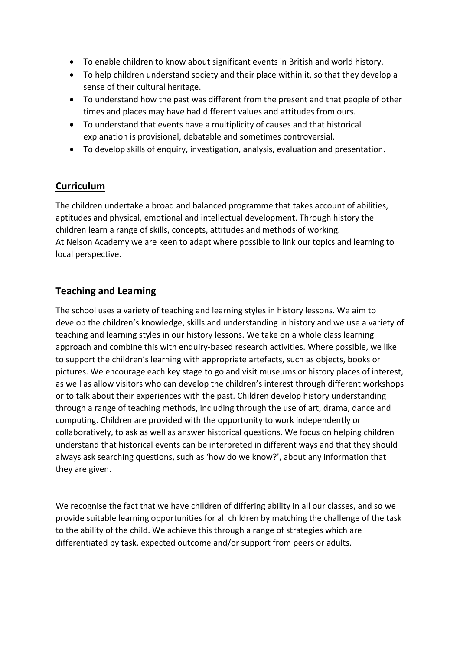- To enable children to know about significant events in British and world history.
- To help children understand society and their place within it, so that they develop a sense of their cultural heritage.
- To understand how the past was different from the present and that people of other times and places may have had different values and attitudes from ours.
- To understand that events have a multiplicity of causes and that historical explanation is provisional, debatable and sometimes controversial.
- To develop skills of enquiry, investigation, analysis, evaluation and presentation.

#### **Curriculum**

The children undertake a broad and balanced programme that takes account of abilities, aptitudes and physical, emotional and intellectual development. Through history the children learn a range of skills, concepts, attitudes and methods of working. At Nelson Academy we are keen to adapt where possible to link our topics and learning to local perspective.

### **Teaching and Learning**

The school uses a variety of teaching and learning styles in history lessons. We aim to develop the children's knowledge, skills and understanding in history and we use a variety of teaching and learning styles in our history lessons. We take on a whole class learning approach and combine this with enquiry-based research activities. Where possible, we like to support the children's learning with appropriate artefacts, such as objects, books or pictures. We encourage each key stage to go and visit museums or history places of interest, as well as allow visitors who can develop the children's interest through different workshops or to talk about their experiences with the past. Children develop history understanding through a range of teaching methods, including through the use of art, drama, dance and computing. Children are provided with the opportunity to work independently or collaboratively, to ask as well as answer historical questions. We focus on helping children understand that historical events can be interpreted in different ways and that they should always ask searching questions, such as 'how do we know?', about any information that they are given.

We recognise the fact that we have children of differing ability in all our classes, and so we provide suitable learning opportunities for all children by matching the challenge of the task to the ability of the child. We achieve this through a range of strategies which are differentiated by task, expected outcome and/or support from peers or adults.